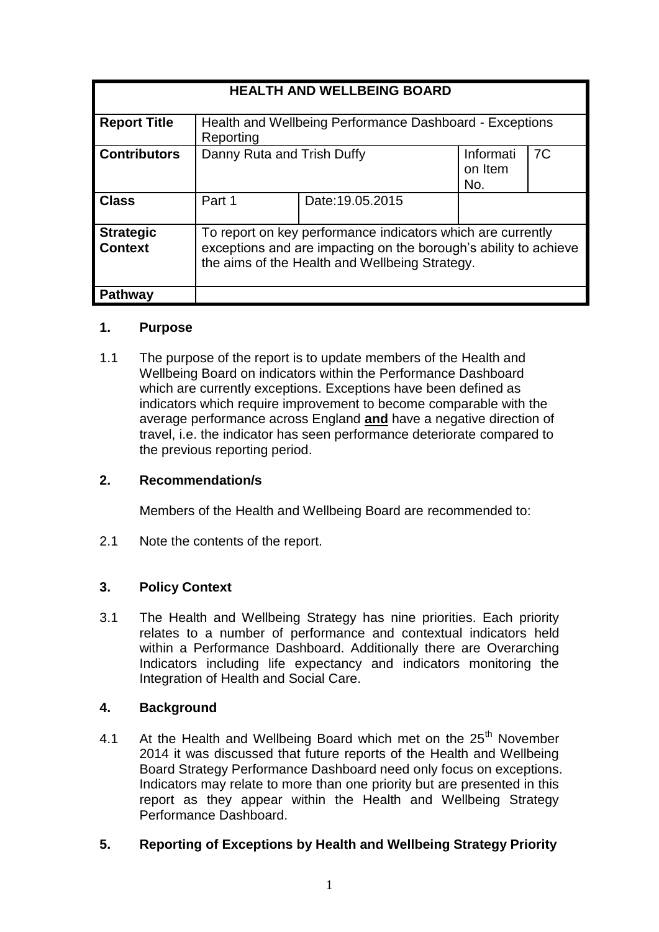| <b>HEALTH AND WELLBEING BOARD</b>  |                                                                                                                                                                                   |                  |                             |                |
|------------------------------------|-----------------------------------------------------------------------------------------------------------------------------------------------------------------------------------|------------------|-----------------------------|----------------|
| <b>Report Title</b>                | Health and Wellbeing Performance Dashboard - Exceptions<br>Reporting                                                                                                              |                  |                             |                |
| <b>Contributors</b>                | Danny Ruta and Trish Duffy                                                                                                                                                        |                  | Informati<br>on Item<br>No. | 7 <sub>C</sub> |
| <b>Class</b>                       | Part 1                                                                                                                                                                            | Date: 19.05.2015 |                             |                |
| <b>Strategic</b><br><b>Context</b> | To report on key performance indicators which are currently<br>exceptions and are impacting on the borough's ability to achieve<br>the aims of the Health and Wellbeing Strategy. |                  |                             |                |
| <b>Pathway</b>                     |                                                                                                                                                                                   |                  |                             |                |

# **1. Purpose**

1.1 The purpose of the report is to update members of the Health and Wellbeing Board on indicators within the Performance Dashboard which are currently exceptions. Exceptions have been defined as indicators which require improvement to become comparable with the average performance across England **and** have a negative direction of travel, i.e. the indicator has seen performance deteriorate compared to the previous reporting period.

# **2. Recommendation/s**

Members of the Health and Wellbeing Board are recommended to:

2.1 Note the contents of the report.

# **3. Policy Context**

3.1 The Health and Wellbeing Strategy has nine priorities. Each priority relates to a number of performance and contextual indicators held within a Performance Dashboard. Additionally there are Overarching Indicators including life expectancy and indicators monitoring the Integration of Health and Social Care.

# **4. Background**

4.1 At the Health and Wellbeing Board which met on the  $25<sup>th</sup>$  November 2014 it was discussed that future reports of the Health and Wellbeing Board Strategy Performance Dashboard need only focus on exceptions. Indicators may relate to more than one priority but are presented in this report as they appear within the Health and Wellbeing Strategy Performance Dashboard.

# **5. Reporting of Exceptions by Health and Wellbeing Strategy Priority**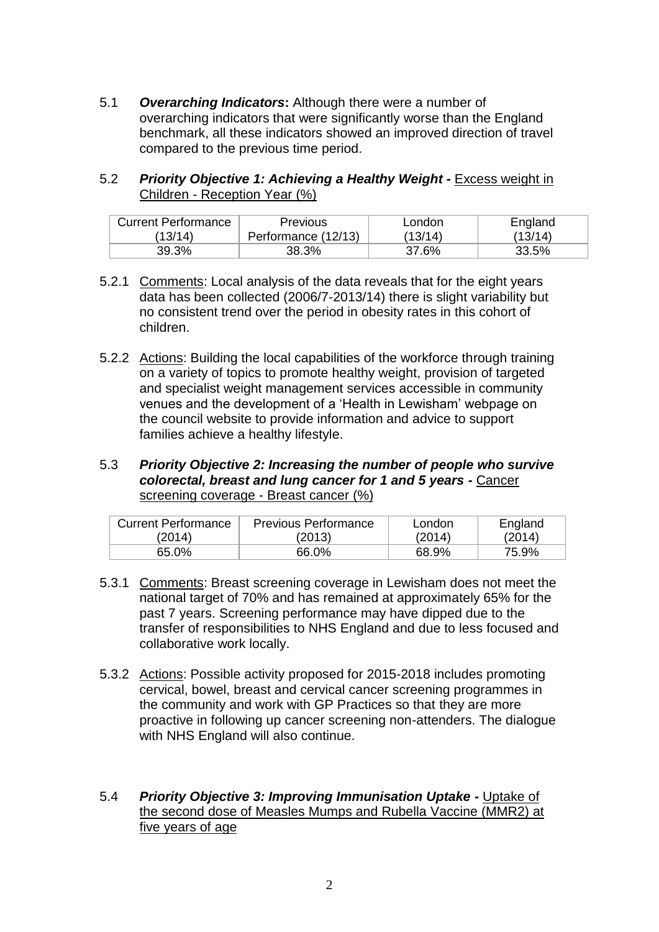- 5.1 *Overarching Indicators***:** Although there were a number of overarching indicators that were significantly worse than the England benchmark, all these indicators showed an improved direction of travel compared to the previous time period.
- 5.2 *Priority Objective 1: Achieving a Healthy Weight -* Excess weight in Children - Reception Year (%)

| <b>Current Performance</b> | <b>Previous</b>     | London  | England |
|----------------------------|---------------------|---------|---------|
| (13/14)                    | Performance (12/13) | (13/14) | (13/14) |
| 39.3%                      | 38.3%               | 37.6%   | 33.5%   |

- 5.2.1 Comments: Local analysis of the data reveals that for the eight years data has been collected (2006/7-2013/14) there is slight variability but no consistent trend over the period in obesity rates in this cohort of children.
- 5.2.2 Actions: Building the local capabilities of the workforce through training on a variety of topics to promote healthy weight, provision of targeted and specialist weight management services accessible in community venues and the development of a 'Health in Lewisham' webpage on the council website to provide information and advice to support families achieve a healthy lifestyle.
- 5.3 *Priority Objective 2: Increasing the number of people who survive colorectal, breast and lung cancer for 1 and 5 years -* Cancer screening coverage - Breast cancer (%)

| <b>Current Performance</b> | <b>Previous Performance</b> | London | England |
|----------------------------|-----------------------------|--------|---------|
| (2014)                     | (2013)                      | (2014) | (2014)  |
| 65.0%                      | 66.0%                       | 68.9%  | 75.9%   |

- 5.3.1 Comments: Breast screening coverage in Lewisham does not meet the national target of 70% and has remained at approximately 65% for the past 7 years. Screening performance may have dipped due to the transfer of responsibilities to NHS England and due to less focused and collaborative work locally.
- 5.3.2 Actions: Possible activity proposed for 2015-2018 includes promoting cervical, bowel, breast and cervical cancer screening programmes in the community and work with GP Practices so that they are more proactive in following up cancer screening non-attenders. The dialogue with NHS England will also continue.
- 5.4 *Priority Objective 3: Improving Immunisation Uptake -* Uptake of the second dose of Measles Mumps and Rubella Vaccine (MMR2) at five years of age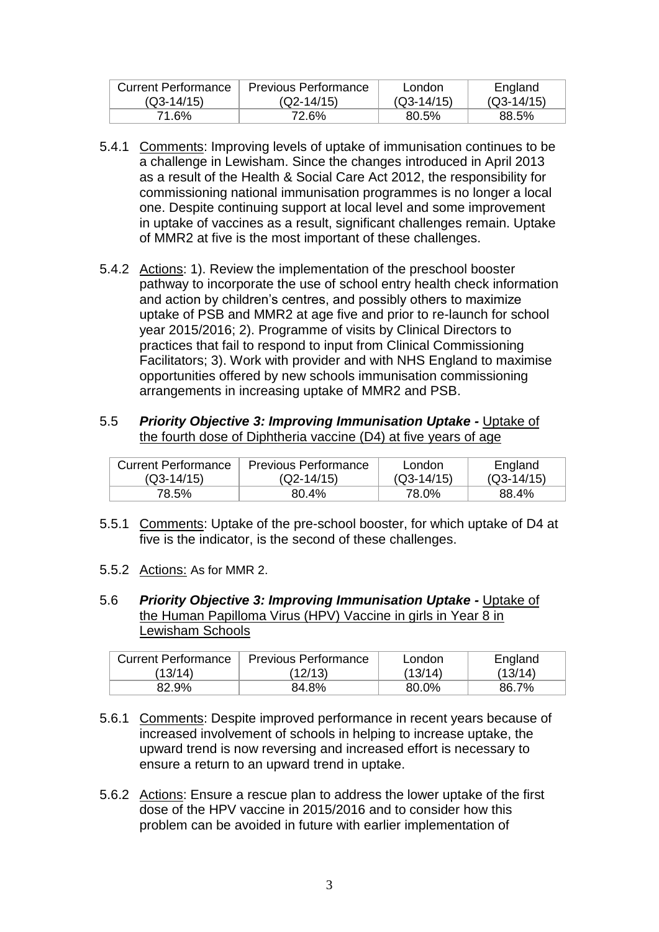| Current Performance | Previous Performance | London       | England      |
|---------------------|----------------------|--------------|--------------|
| $(Q3-14/15)$        | $(Q2-14/15)$         | $(Q3-14/15)$ | $(Q3-14/15)$ |
| 71.6%               | 72.6%                | 80.5%        | 88.5%        |

- 5.4.1 Comments: Improving levels of uptake of immunisation continues to be a challenge in Lewisham. Since the changes introduced in April 2013 as a result of the Health & Social Care Act 2012, the responsibility for commissioning national immunisation programmes is no longer a local one. Despite continuing support at local level and some improvement in uptake of vaccines as a result, significant challenges remain. Uptake of MMR2 at five is the most important of these challenges.
- 5.4.2 Actions: 1). Review the implementation of the preschool booster pathway to incorporate the use of school entry health check information and action by children's centres, and possibly others to maximize uptake of PSB and MMR2 at age five and prior to re-launch for school year 2015/2016; 2). Programme of visits by Clinical Directors to practices that fail to respond to input from Clinical Commissioning Facilitators; 3). Work with provider and with NHS England to maximise opportunities offered by new schools immunisation commissioning arrangements in increasing uptake of MMR2 and PSB.

#### 5.5 *Priority Objective 3: Improving Immunisation Uptake -* Uptake of the fourth dose of Diphtheria vaccine (D4) at five years of age

| Current Performance | <b>Previous Performance</b> | London       | England      |
|---------------------|-----------------------------|--------------|--------------|
| $(Q3-14/15)$        | $(Q2-14/15)$                | $(Q3-14/15)$ | $(Q3-14/15)$ |
| 78.5%               | 80.4%                       | 78.0%        | 88.4%        |

- 5.5.1 Comments: Uptake of the pre-school booster, for which uptake of D4 at five is the indicator, is the second of these challenges.
- 5.5.2 Actions: As for MMR 2.
- 5.6 *Priority Objective 3: Improving Immunisation Uptake -* Uptake of the Human Papilloma Virus (HPV) Vaccine in girls in Year 8 in Lewisham Schools

| Current Performance | <b>Previous Performance</b> | London  | England |
|---------------------|-----------------------------|---------|---------|
| (13/14)             | (12/13)                     | (13/14) | (13/14) |
| 82.9%               | 84.8%                       | 80.0%   | 86.7%   |

- 5.6.1 Comments: Despite improved performance in recent years because of increased involvement of schools in helping to increase uptake, the upward trend is now reversing and increased effort is necessary to ensure a return to an upward trend in uptake.
- 5.6.2 Actions: Ensure a rescue plan to address the lower uptake of the first dose of the HPV vaccine in 2015/2016 and to consider how this problem can be avoided in future with earlier implementation of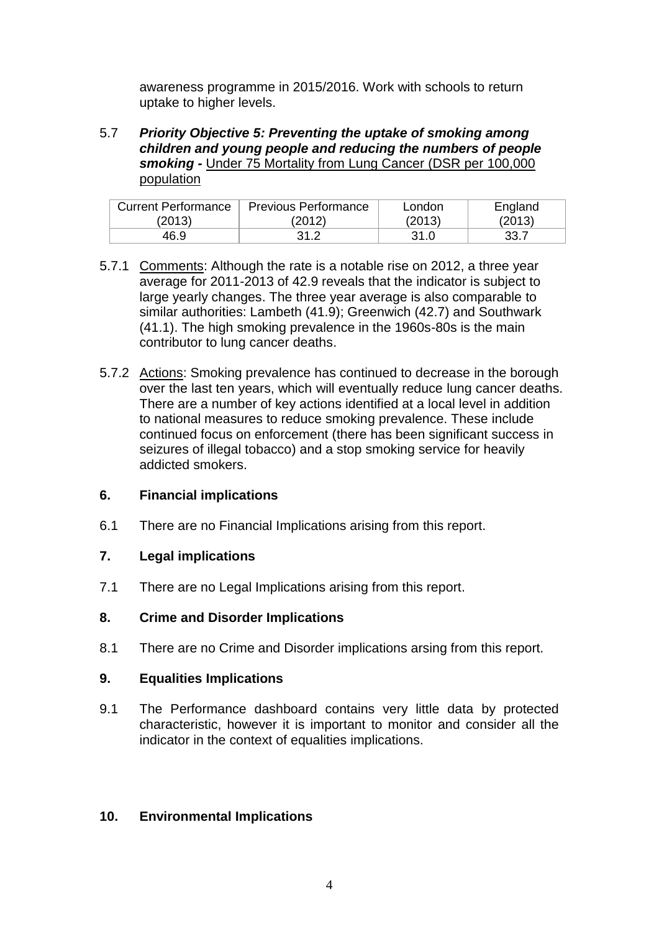awareness programme in 2015/2016. Work with schools to return uptake to higher levels.

5.7 *Priority Objective 5: Preventing the uptake of smoking among children and young people and reducing the numbers of people smoking -* Under 75 Mortality from Lung Cancer (DSR per 100,000 population

| <b>Current Performance</b> | <b>Previous Performance</b> | London | England |
|----------------------------|-----------------------------|--------|---------|
| (2013)                     | (2012)                      | (2013) | (2013)  |
| 46.9                       | 31.2                        | 31.0   | 33.7    |

- 5.7.1 Comments: Although the rate is a notable rise on 2012, a three year average for 2011-2013 of 42.9 reveals that the indicator is subject to large yearly changes. The three year average is also comparable to similar authorities: Lambeth (41.9); Greenwich (42.7) and Southwark (41.1). The high smoking prevalence in the 1960s-80s is the main contributor to lung cancer deaths.
- 5.7.2 Actions: Smoking prevalence has continued to decrease in the borough over the last ten years, which will eventually reduce lung cancer deaths. There are a number of key actions identified at a local level in addition to national measures to reduce smoking prevalence. These include continued focus on enforcement (there has been significant success in seizures of illegal tobacco) and a stop smoking service for heavily addicted smokers.

# **6. Financial implications**

6.1 There are no Financial Implications arising from this report.

#### **7. Legal implications**

7.1 There are no Legal Implications arising from this report.

#### **8. Crime and Disorder Implications**

8.1 There are no Crime and Disorder implications arsing from this report.

#### **9. Equalities Implications**

9.1 The Performance dashboard contains very little data by protected characteristic, however it is important to monitor and consider all the indicator in the context of equalities implications.

# **10. Environmental Implications**